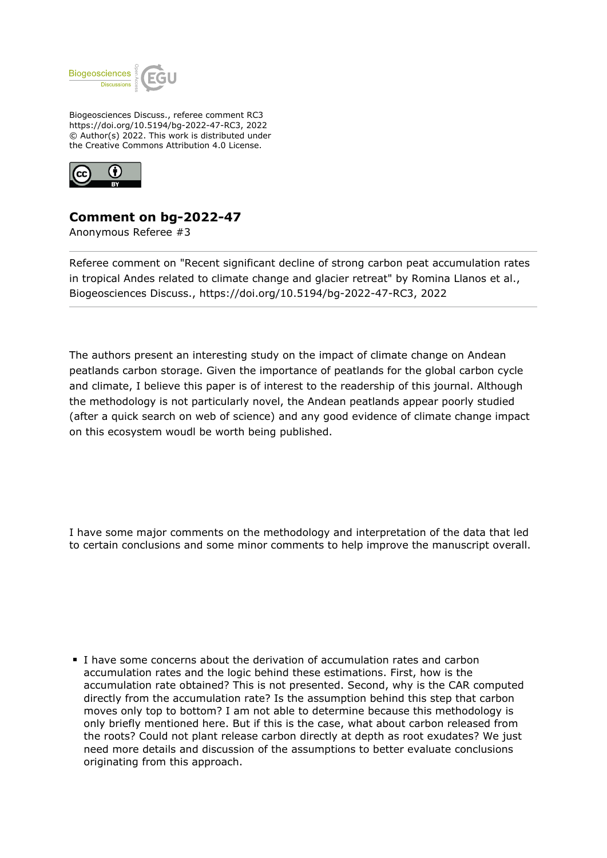

Biogeosciences Discuss., referee comment RC3 https://doi.org/10.5194/bg-2022-47-RC3, 2022 © Author(s) 2022. This work is distributed under the Creative Commons Attribution 4.0 License.



## **Comment on bg-2022-47**

Anonymous Referee #3

Referee comment on "Recent significant decline of strong carbon peat accumulation rates in tropical Andes related to climate change and glacier retreat" by Romina Llanos et al., Biogeosciences Discuss., https://doi.org/10.5194/bg-2022-47-RC3, 2022

The authors present an interesting study on the impact of climate change on Andean peatlands carbon storage. Given the importance of peatlands for the global carbon cycle and climate, I believe this paper is of interest to the readership of this journal. Although the methodology is not particularly novel, the Andean peatlands appear poorly studied (after a quick search on web of science) and any good evidence of climate change impact on this ecosystem woudl be worth being published.

I have some major comments on the methodology and interpretation of the data that led to certain conclusions and some minor comments to help improve the manuscript overall.

I have some concerns about the derivation of accumulation rates and carbon accumulation rates and the logic behind these estimations. First, how is the accumulation rate obtained? This is not presented. Second, why is the CAR computed directly from the accumulation rate? Is the assumption behind this step that carbon moves only top to bottom? I am not able to determine because this methodology is only briefly mentioned here. But if this is the case, what about carbon released from the roots? Could not plant release carbon directly at depth as root exudates? We just need more details and discussion of the assumptions to better evaluate conclusions originating from this approach.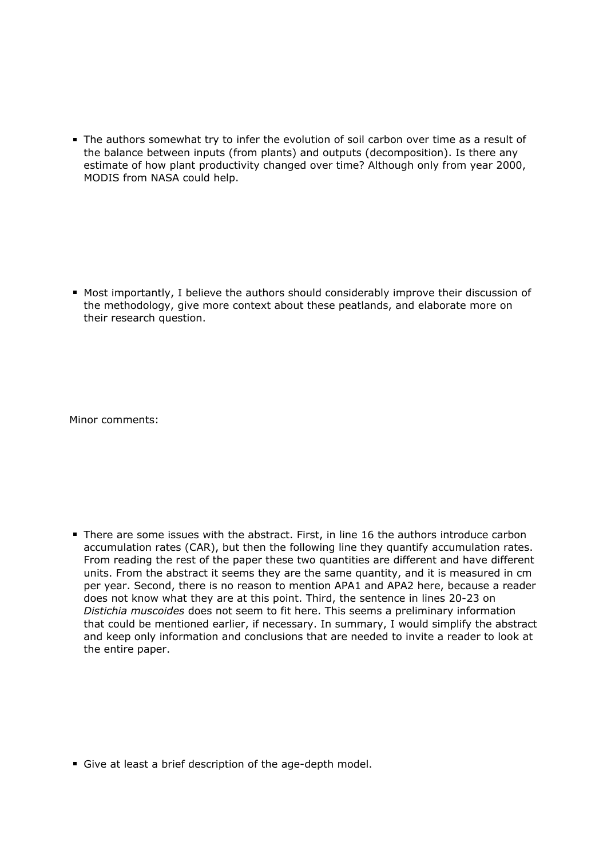The authors somewhat try to infer the evolution of soil carbon over time as a result of the balance between inputs (from plants) and outputs (decomposition). Is there any estimate of how plant productivity changed over time? Although only from year 2000, MODIS from NASA could help.

Most importantly, I believe the authors should considerably improve their discussion of the methodology, give more context about these peatlands, and elaborate more on their research question.

Minor comments:

There are some issues with the abstract. First, in line 16 the authors introduce carbon accumulation rates (CAR), but then the following line they quantify accumulation rates. From reading the rest of the paper these two quantities are different and have different units. From the abstract it seems they are the same quantity, and it is measured in cm per year. Second, there is no reason to mention APA1 and APA2 here, because a reader does not know what they are at this point. Third, the sentence in lines 20-23 on *Distichia muscoides* does not seem to fit here. This seems a preliminary information that could be mentioned earlier, if necessary. In summary, I would simplify the abstract and keep only information and conclusions that are needed to invite a reader to look at the entire paper.

Give at least a brief description of the age-depth model.